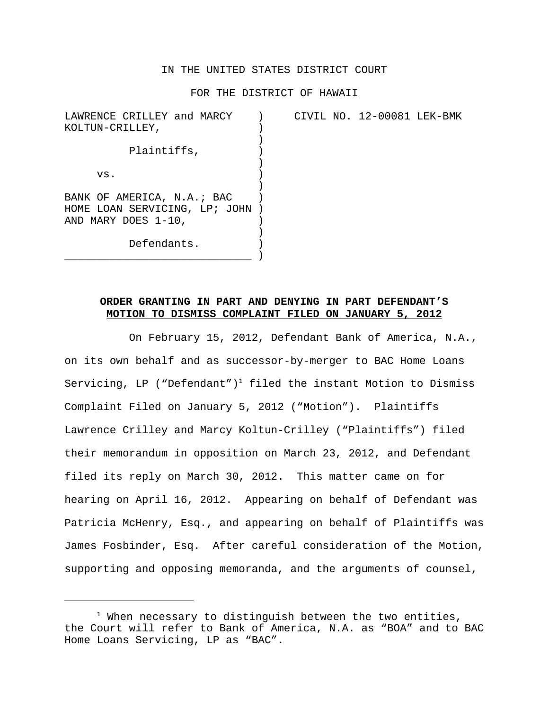### IN THE UNITED STATES DISTRICT COURT

#### FOR THE DISTRICT OF HAWAII

| LAWRENCE CRILLEY and MARCY<br>KOLTUN-CRILLEY,                                      |  | CIVIL NO. 12-00081 LEK-BMK |  |
|------------------------------------------------------------------------------------|--|----------------------------|--|
| Plaintiffs,                                                                        |  |                            |  |
| VS.                                                                                |  |                            |  |
| BANK OF AMERICA, N.A.; BAC<br>HOME LOAN SERVICING, LP; JOHN<br>AND MARY DOES 1-10, |  |                            |  |
| Defendants.                                                                        |  |                            |  |

# **ORDER GRANTING IN PART AND DENYING IN PART DEFENDANT'S MOTION TO DISMISS COMPLAINT FILED ON JANUARY 5, 2012**

On February 15, 2012, Defendant Bank of America, N.A., on its own behalf and as successor-by-merger to BAC Home Loans Servicing, LP ("Defendant")<sup>1</sup> filed the instant Motion to Dismiss Complaint Filed on January 5, 2012 ("Motion"). Plaintiffs Lawrence Crilley and Marcy Koltun-Crilley ("Plaintiffs") filed their memorandum in opposition on March 23, 2012, and Defendant filed its reply on March 30, 2012. This matter came on for hearing on April 16, 2012. Appearing on behalf of Defendant was Patricia McHenry, Esq., and appearing on behalf of Plaintiffs was James Fosbinder, Esq. After careful consideration of the Motion, supporting and opposing memoranda, and the arguments of counsel,

<sup>&</sup>lt;sup>1</sup> When necessary to distinguish between the two entities, the Court will refer to Bank of America, N.A. as "BOA" and to BAC Home Loans Servicing, LP as "BAC".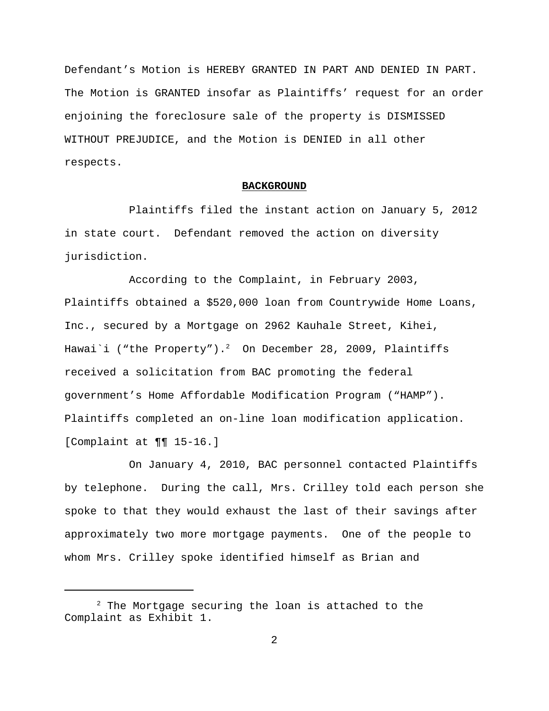Defendant's Motion is HEREBY GRANTED IN PART AND DENIED IN PART. The Motion is GRANTED insofar as Plaintiffs' request for an order enjoining the foreclosure sale of the property is DISMISSED WITHOUT PREJUDICE, and the Motion is DENIED in all other respects.

#### **BACKGROUND**

Plaintiffs filed the instant action on January 5, 2012 in state court. Defendant removed the action on diversity jurisdiction.

According to the Complaint, in February 2003, Plaintiffs obtained a \$520,000 loan from Countrywide Home Loans, Inc., secured by a Mortgage on 2962 Kauhale Street, Kihei, Hawai`i ("the Property"). $^2$  On December 28, 2009, Plaintiffs received a solicitation from BAC promoting the federal government's Home Affordable Modification Program ("HAMP"). Plaintiffs completed an on-line loan modification application. [Complaint at ¶¶ 15-16.]

On January 4, 2010, BAC personnel contacted Plaintiffs by telephone. During the call, Mrs. Crilley told each person she spoke to that they would exhaust the last of their savings after approximately two more mortgage payments. One of the people to whom Mrs. Crilley spoke identified himself as Brian and

 $2$  The Mortgage securing the loan is attached to the Complaint as Exhibit 1.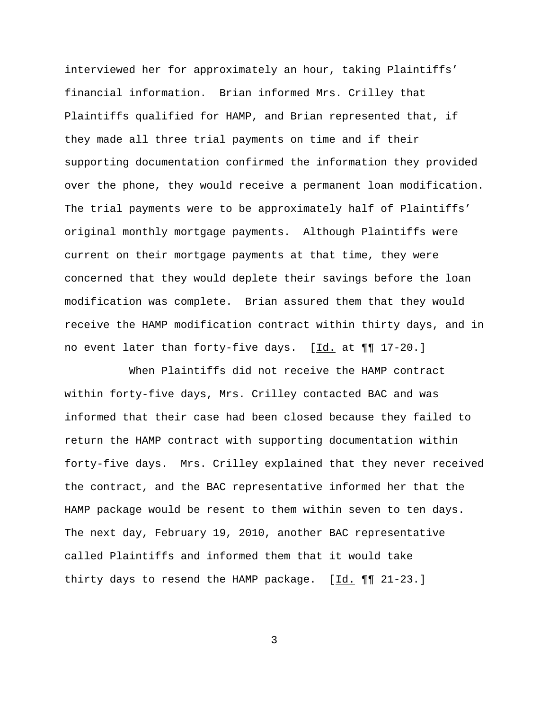interviewed her for approximately an hour, taking Plaintiffs' financial information. Brian informed Mrs. Crilley that Plaintiffs qualified for HAMP, and Brian represented that, if they made all three trial payments on time and if their supporting documentation confirmed the information they provided over the phone, they would receive a permanent loan modification. The trial payments were to be approximately half of Plaintiffs' original monthly mortgage payments. Although Plaintiffs were current on their mortgage payments at that time, they were concerned that they would deplete their savings before the loan modification was complete. Brian assured them that they would receive the HAMP modification contract within thirty days, and in no event later than forty-five days. [Id. at ¶¶ 17-20.]

When Plaintiffs did not receive the HAMP contract within forty-five days, Mrs. Crilley contacted BAC and was informed that their case had been closed because they failed to return the HAMP contract with supporting documentation within forty-five days. Mrs. Crilley explained that they never received the contract, and the BAC representative informed her that the HAMP package would be resent to them within seven to ten days. The next day, February 19, 2010, another BAC representative called Plaintiffs and informed them that it would take thirty days to resend the HAMP package.  $[\underline{Id.} \P \P \P \ 21-23.]$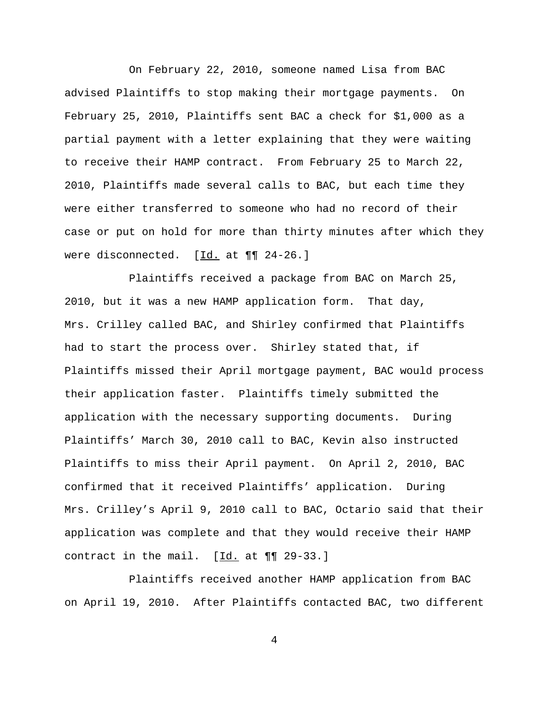On February 22, 2010, someone named Lisa from BAC advised Plaintiffs to stop making their mortgage payments. On February 25, 2010, Plaintiffs sent BAC a check for \$1,000 as a partial payment with a letter explaining that they were waiting to receive their HAMP contract. From February 25 to March 22, 2010, Plaintiffs made several calls to BAC, but each time they were either transferred to someone who had no record of their case or put on hold for more than thirty minutes after which they were disconnected. [Id. at  $\P\P$  24-26.]

Plaintiffs received a package from BAC on March 25, 2010, but it was a new HAMP application form. That day, Mrs. Crilley called BAC, and Shirley confirmed that Plaintiffs had to start the process over. Shirley stated that, if Plaintiffs missed their April mortgage payment, BAC would process their application faster. Plaintiffs timely submitted the application with the necessary supporting documents. During Plaintiffs' March 30, 2010 call to BAC, Kevin also instructed Plaintiffs to miss their April payment. On April 2, 2010, BAC confirmed that it received Plaintiffs' application. During Mrs. Crilley's April 9, 2010 call to BAC, Octario said that their application was complete and that they would receive their HAMP contract in the mail.  $[\underline{Id.}]$  at  $\P\P$  29-33.]

Plaintiffs received another HAMP application from BAC on April 19, 2010. After Plaintiffs contacted BAC, two different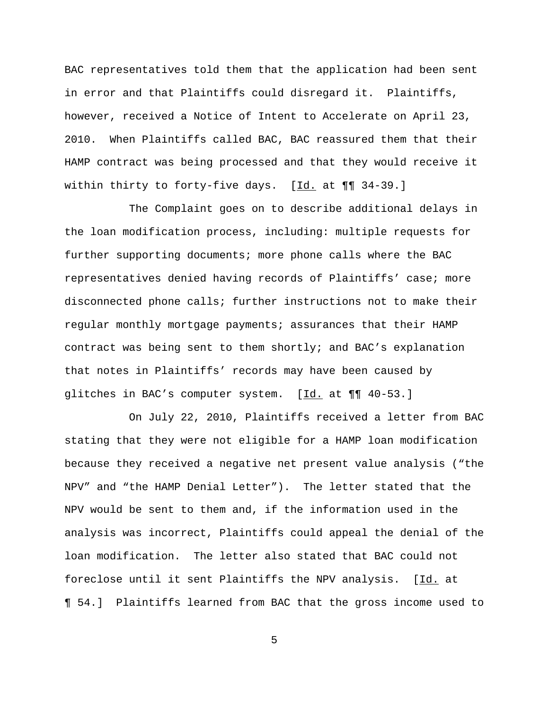BAC representatives told them that the application had been sent in error and that Plaintiffs could disregard it. Plaintiffs, however, received a Notice of Intent to Accelerate on April 23, 2010. When Plaintiffs called BAC, BAC reassured them that their HAMP contract was being processed and that they would receive it within thirty to forty-five days.  $[\underline{Id.}]$  at  $\P\P$  34-39.]

The Complaint goes on to describe additional delays in the loan modification process, including: multiple requests for further supporting documents; more phone calls where the BAC representatives denied having records of Plaintiffs' case; more disconnected phone calls; further instructions not to make their regular monthly mortgage payments; assurances that their HAMP contract was being sent to them shortly; and BAC's explanation that notes in Plaintiffs' records may have been caused by glitches in BAC's computer system. [Id. at  $\P\P$  40-53.]

On July 22, 2010, Plaintiffs received a letter from BAC stating that they were not eligible for a HAMP loan modification because they received a negative net present value analysis ("the NPV" and "the HAMP Denial Letter"). The letter stated that the NPV would be sent to them and, if the information used in the analysis was incorrect, Plaintiffs could appeal the denial of the loan modification. The letter also stated that BAC could not foreclose until it sent Plaintiffs the NPV analysis. [Id. at ¶ 54.] Plaintiffs learned from BAC that the gross income used to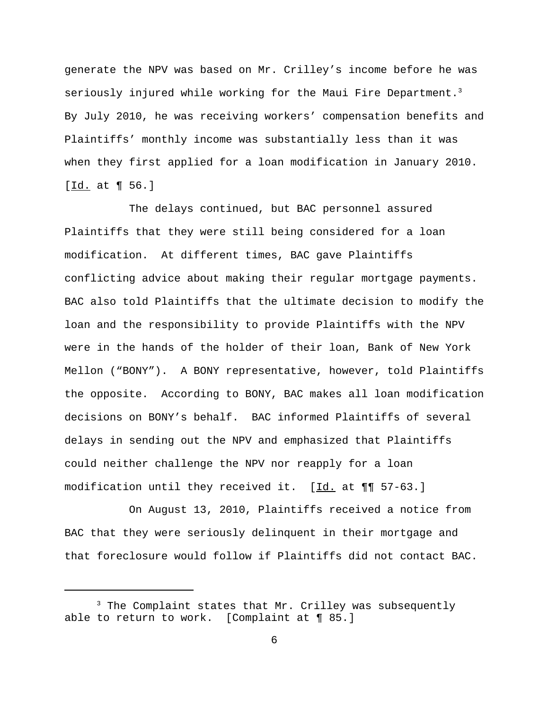generate the NPV was based on Mr. Crilley's income before he was seriously injured while working for the Maui Fire Department.<sup>3</sup> By July 2010, he was receiving workers' compensation benefits and Plaintiffs' monthly income was substantially less than it was when they first applied for a loan modification in January 2010. [Id. at 1 56.]

The delays continued, but BAC personnel assured Plaintiffs that they were still being considered for a loan modification. At different times, BAC gave Plaintiffs conflicting advice about making their regular mortgage payments. BAC also told Plaintiffs that the ultimate decision to modify the loan and the responsibility to provide Plaintiffs with the NPV were in the hands of the holder of their loan, Bank of New York Mellon ("BONY"). A BONY representative, however, told Plaintiffs the opposite. According to BONY, BAC makes all loan modification decisions on BONY's behalf. BAC informed Plaintiffs of several delays in sending out the NPV and emphasized that Plaintiffs could neither challenge the NPV nor reapply for a loan modification until they received it. [Id. at ¶¶ 57-63.]

On August 13, 2010, Plaintiffs received a notice from BAC that they were seriously delinquent in their mortgage and that foreclosure would follow if Plaintiffs did not contact BAC.

<sup>&</sup>lt;sup>3</sup> The Complaint states that Mr. Crilley was subsequently able to return to work. [Complaint at ¶ 85.]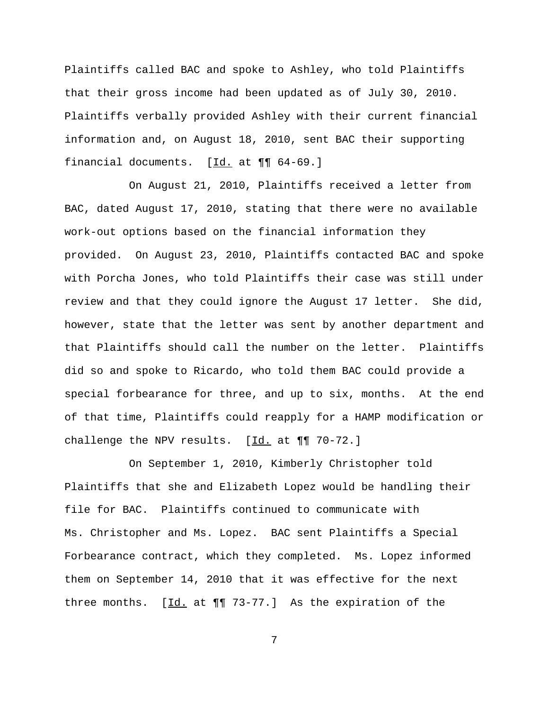Plaintiffs called BAC and spoke to Ashley, who told Plaintiffs that their gross income had been updated as of July 30, 2010. Plaintiffs verbally provided Ashley with their current financial information and, on August 18, 2010, sent BAC their supporting financial documents. [Id. at ¶¶ 64-69.]

On August 21, 2010, Plaintiffs received a letter from BAC, dated August 17, 2010, stating that there were no available work-out options based on the financial information they provided. On August 23, 2010, Plaintiffs contacted BAC and spoke with Porcha Jones, who told Plaintiffs their case was still under review and that they could ignore the August 17 letter. She did, however, state that the letter was sent by another department and that Plaintiffs should call the number on the letter. Plaintiffs did so and spoke to Ricardo, who told them BAC could provide a special forbearance for three, and up to six, months. At the end of that time, Plaintiffs could reapply for a HAMP modification or challenge the NPV results.  $[\underline{Id.}]$  at  $\P\P$  70-72.]

On September 1, 2010, Kimberly Christopher told Plaintiffs that she and Elizabeth Lopez would be handling their file for BAC. Plaintiffs continued to communicate with Ms. Christopher and Ms. Lopez. BAC sent Plaintiffs a Special Forbearance contract, which they completed. Ms. Lopez informed them on September 14, 2010 that it was effective for the next three months.  $[\underline{Id.}]$  at  $\P\P$  73-77.] As the expiration of the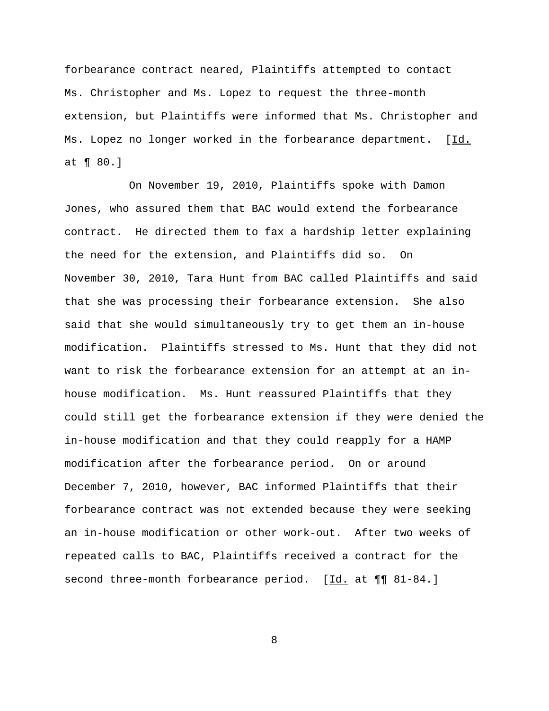forbearance contract neared, Plaintiffs attempted to contact Ms. Christopher and Ms. Lopez to request the three-month extension, but Plaintiffs were informed that Ms. Christopher and Ms. Lopez no longer worked in the forbearance department. [Id. at ¶ 80.]

On November 19, 2010, Plaintiffs spoke with Damon Jones, who assured them that BAC would extend the forbearance contract. He directed them to fax a hardship letter explaining the need for the extension, and Plaintiffs did so. On November 30, 2010, Tara Hunt from BAC called Plaintiffs and said that she was processing their forbearance extension. She also said that she would simultaneously try to get them an in-house modification. Plaintiffs stressed to Ms. Hunt that they did not want to risk the forbearance extension for an attempt at an inhouse modification. Ms. Hunt reassured Plaintiffs that they could still get the forbearance extension if they were denied the in-house modification and that they could reapply for a HAMP modification after the forbearance period. On or around December 7, 2010, however, BAC informed Plaintiffs that their forbearance contract was not extended because they were seeking an in-house modification or other work-out. After two weeks of repeated calls to BAC, Plaintiffs received a contract for the second three-month forbearance period. [Id. at  $\P\P$  81-84.]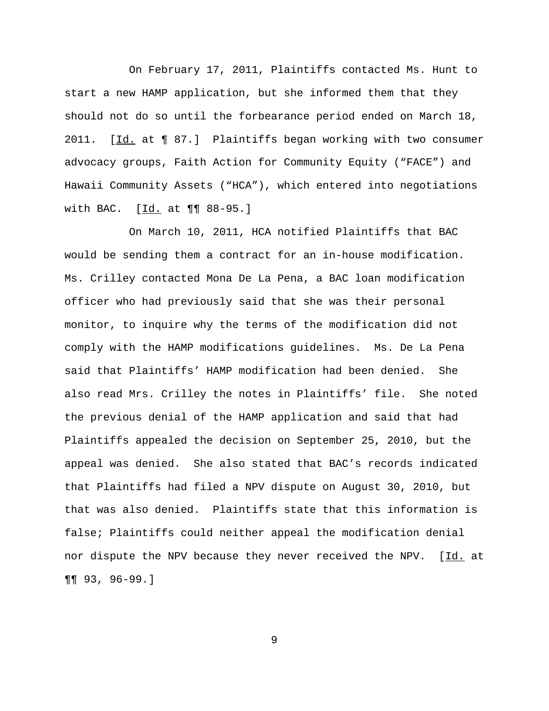On February 17, 2011, Plaintiffs contacted Ms. Hunt to start a new HAMP application, but she informed them that they should not do so until the forbearance period ended on March 18, 2011. [Id. at ¶ 87.] Plaintiffs began working with two consumer advocacy groups, Faith Action for Community Equity ("FACE") and Hawaii Community Assets ("HCA"), which entered into negotiations with BAC. [Id. at  $\P\P$  88-95.]

On March 10, 2011, HCA notified Plaintiffs that BAC would be sending them a contract for an in-house modification. Ms. Crilley contacted Mona De La Pena, a BAC loan modification officer who had previously said that she was their personal monitor, to inquire why the terms of the modification did not comply with the HAMP modifications guidelines. Ms. De La Pena said that Plaintiffs' HAMP modification had been denied. She also read Mrs. Crilley the notes in Plaintiffs' file. She noted the previous denial of the HAMP application and said that had Plaintiffs appealed the decision on September 25, 2010, but the appeal was denied. She also stated that BAC's records indicated that Plaintiffs had filed a NPV dispute on August 30, 2010, but that was also denied. Plaintiffs state that this information is false; Plaintiffs could neither appeal the modification denial nor dispute the NPV because they never received the NPV. [Id. at ¶¶ 93, 96-99.]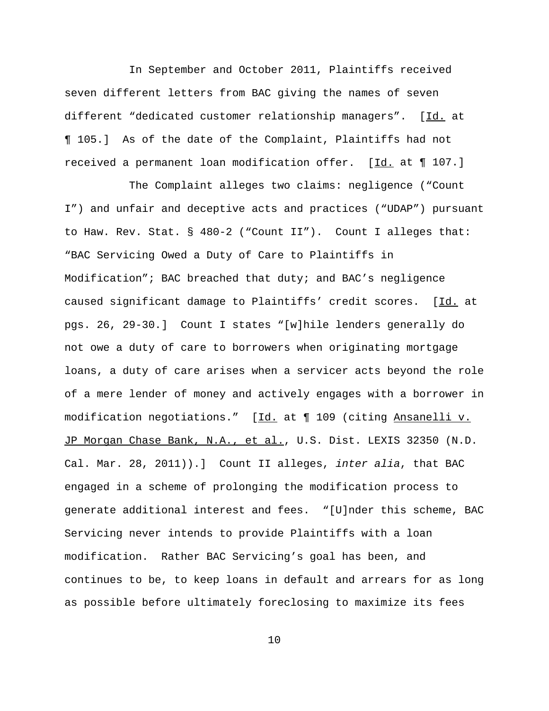In September and October 2011, Plaintiffs received seven different letters from BAC giving the names of seven different "dedicated customer relationship managers". [Id. at ¶ 105.] As of the date of the Complaint, Plaintiffs had not received a permanent loan modification offer. [Id. at ¶ 107.]

The Complaint alleges two claims: negligence ("Count I") and unfair and deceptive acts and practices ("UDAP") pursuant to Haw. Rev. Stat. § 480-2 ("Count II"). Count I alleges that: "BAC Servicing Owed a Duty of Care to Plaintiffs in Modification"; BAC breached that duty; and BAC's negligence caused significant damage to Plaintiffs' credit scores. [Id. at pgs. 26, 29-30.] Count I states "[w]hile lenders generally do not owe a duty of care to borrowers when originating mortgage loans, a duty of care arises when a servicer acts beyond the role of a mere lender of money and actively engages with a borrower in modification negotiations." [Id. at 1 109 (citing Ansanelli v. JP Morgan Chase Bank, N.A., et al., U.S. Dist. LEXIS 32350 (N.D. Cal. Mar. 28, 2011)).] Count II alleges, *inter alia*, that BAC engaged in a scheme of prolonging the modification process to generate additional interest and fees. "[U]nder this scheme, BAC Servicing never intends to provide Plaintiffs with a loan modification. Rather BAC Servicing's goal has been, and continues to be, to keep loans in default and arrears for as long as possible before ultimately foreclosing to maximize its fees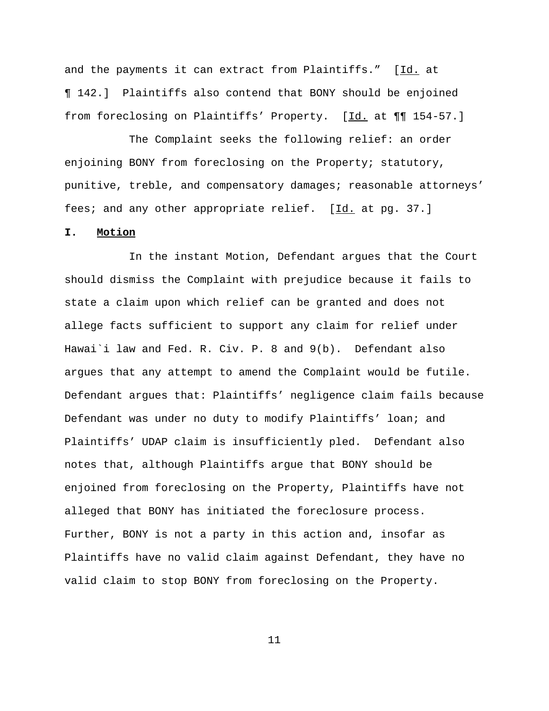and the payments it can extract from Plaintiffs." [Id. at ¶ 142.] Plaintiffs also contend that BONY should be enjoined from foreclosing on Plaintiffs' Property. [Id. at  $\P\P$  154-57.]

The Complaint seeks the following relief: an order enjoining BONY from foreclosing on the Property; statutory, punitive, treble, and compensatory damages; reasonable attorneys' fees; and any other appropriate relief. [Id. at pg. 37.]

## **I. Motion**

In the instant Motion, Defendant argues that the Court should dismiss the Complaint with prejudice because it fails to state a claim upon which relief can be granted and does not allege facts sufficient to support any claim for relief under Hawai`i law and Fed. R. Civ. P. 8 and 9(b). Defendant also argues that any attempt to amend the Complaint would be futile. Defendant argues that: Plaintiffs' negligence claim fails because Defendant was under no duty to modify Plaintiffs' loan; and Plaintiffs' UDAP claim is insufficiently pled. Defendant also notes that, although Plaintiffs argue that BONY should be enjoined from foreclosing on the Property, Plaintiffs have not alleged that BONY has initiated the foreclosure process. Further, BONY is not a party in this action and, insofar as Plaintiffs have no valid claim against Defendant, they have no valid claim to stop BONY from foreclosing on the Property.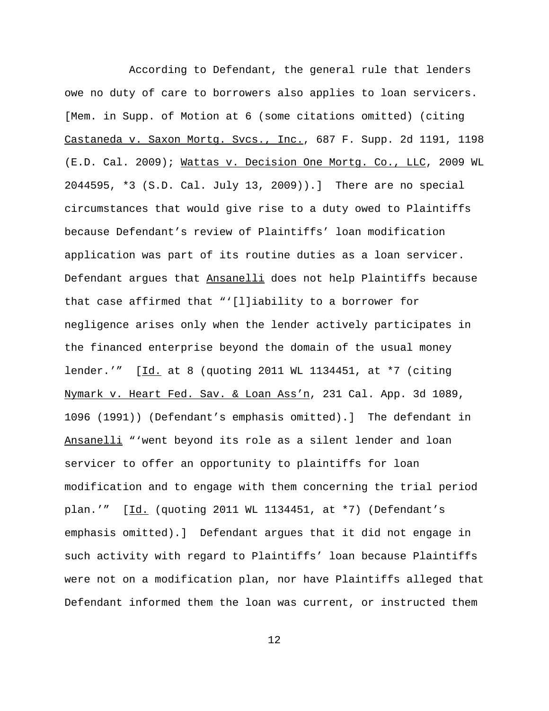According to Defendant, the general rule that lenders owe no duty of care to borrowers also applies to loan servicers. [Mem. in Supp. of Motion at 6 (some citations omitted) (citing Castaneda v. Saxon Mortg. Svcs., Inc., 687 F. Supp. 2d 1191, 1198 (E.D. Cal. 2009); Wattas v. Decision One Mortg. Co., LLC, 2009 WL 2044595, \*3 (S.D. Cal. July 13, 2009)).] There are no special circumstances that would give rise to a duty owed to Plaintiffs because Defendant's review of Plaintiffs' loan modification application was part of its routine duties as a loan servicer. Defendant argues that Ansanelli does not help Plaintiffs because that case affirmed that "'[l]iability to a borrower for negligence arises only when the lender actively participates in the financed enterprise beyond the domain of the usual money lender.'" [Id. at 8 (quoting 2011 WL 1134451, at \*7 (citing Nymark v. Heart Fed. Sav. & Loan Ass'n, 231 Cal. App. 3d 1089, 1096 (1991)) (Defendant's emphasis omitted).] The defendant in Ansanelli "'went beyond its role as a silent lender and loan servicer to offer an opportunity to plaintiffs for loan modification and to engage with them concerning the trial period plan.'" [Id. (quoting 2011 WL 1134451, at \*7) (Defendant's emphasis omitted).] Defendant argues that it did not engage in such activity with regard to Plaintiffs' loan because Plaintiffs were not on a modification plan, nor have Plaintiffs alleged that Defendant informed them the loan was current, or instructed them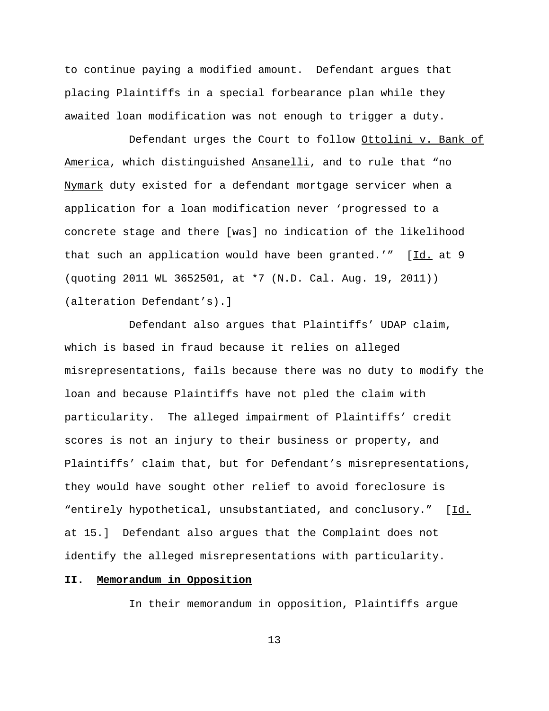to continue paying a modified amount. Defendant argues that placing Plaintiffs in a special forbearance plan while they awaited loan modification was not enough to trigger a duty.

Defendant urges the Court to follow Ottolini v. Bank of America, which distinguished Ansanelli, and to rule that "no Nymark duty existed for a defendant mortgage servicer when a application for a loan modification never 'progressed to a concrete stage and there [was] no indication of the likelihood that such an application would have been granted.'"  $[\underline{Id}]$ . at 9 (quoting 2011 WL 3652501, at \*7 (N.D. Cal. Aug. 19, 2011)) (alteration Defendant's).]

Defendant also argues that Plaintiffs' UDAP claim, which is based in fraud because it relies on alleged misrepresentations, fails because there was no duty to modify the loan and because Plaintiffs have not pled the claim with particularity. The alleged impairment of Plaintiffs' credit scores is not an injury to their business or property, and Plaintiffs' claim that, but for Defendant's misrepresentations, they would have sought other relief to avoid foreclosure is "entirely hypothetical, unsubstantiated, and conclusory." [Id. at 15.] Defendant also argues that the Complaint does not identify the alleged misrepresentations with particularity.

## **II. Memorandum in Opposition**

In their memorandum in opposition, Plaintiffs argue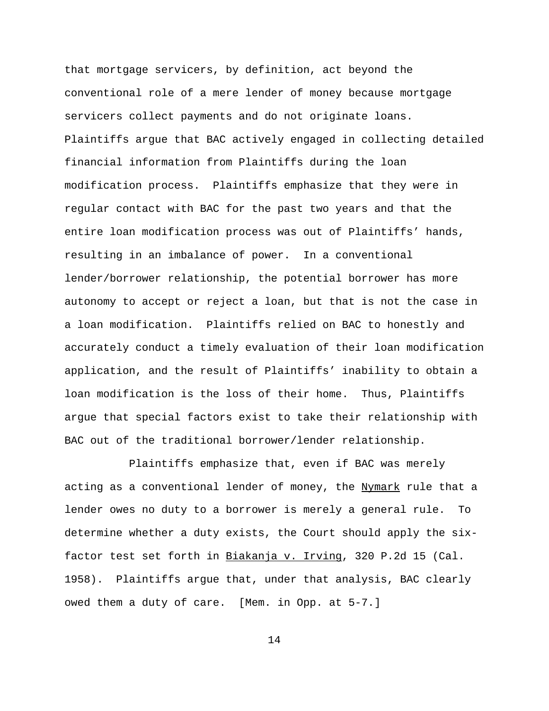that mortgage servicers, by definition, act beyond the conventional role of a mere lender of money because mortgage servicers collect payments and do not originate loans. Plaintiffs argue that BAC actively engaged in collecting detailed financial information from Plaintiffs during the loan modification process. Plaintiffs emphasize that they were in regular contact with BAC for the past two years and that the entire loan modification process was out of Plaintiffs' hands, resulting in an imbalance of power. In a conventional lender/borrower relationship, the potential borrower has more autonomy to accept or reject a loan, but that is not the case in a loan modification. Plaintiffs relied on BAC to honestly and accurately conduct a timely evaluation of their loan modification application, and the result of Plaintiffs' inability to obtain a loan modification is the loss of their home. Thus, Plaintiffs argue that special factors exist to take their relationship with BAC out of the traditional borrower/lender relationship.

Plaintiffs emphasize that, even if BAC was merely acting as a conventional lender of money, the Nymark rule that a lender owes no duty to a borrower is merely a general rule. To determine whether a duty exists, the Court should apply the sixfactor test set forth in Biakanja v. Irving, 320 P.2d 15 (Cal. 1958). Plaintiffs argue that, under that analysis, BAC clearly owed them a duty of care. [Mem. in Opp. at 5-7.]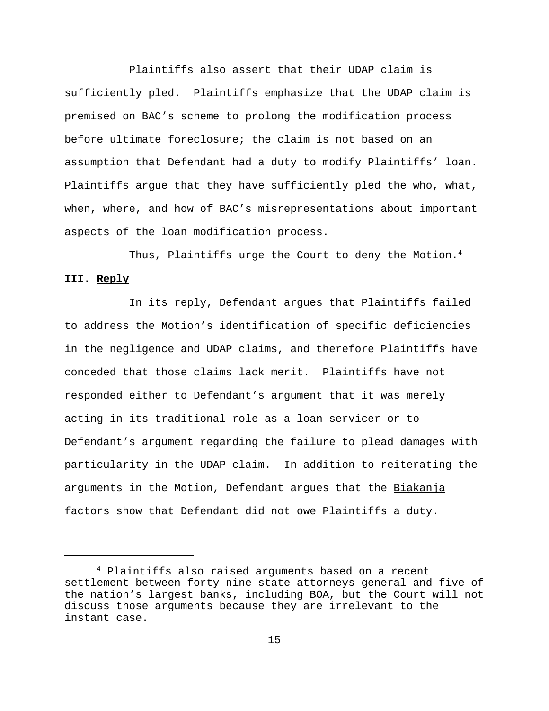Plaintiffs also assert that their UDAP claim is sufficiently pled. Plaintiffs emphasize that the UDAP claim is premised on BAC's scheme to prolong the modification process before ultimate foreclosure; the claim is not based on an assumption that Defendant had a duty to modify Plaintiffs' loan. Plaintiffs argue that they have sufficiently pled the who, what, when, where, and how of BAC's misrepresentations about important aspects of the loan modification process.

Thus, Plaintiffs urge the Court to deny the Motion. $4$ **III. Reply**

In its reply, Defendant argues that Plaintiffs failed to address the Motion's identification of specific deficiencies in the negligence and UDAP claims, and therefore Plaintiffs have conceded that those claims lack merit. Plaintiffs have not responded either to Defendant's argument that it was merely acting in its traditional role as a loan servicer or to Defendant's argument regarding the failure to plead damages with particularity in the UDAP claim. In addition to reiterating the arguments in the Motion, Defendant argues that the Biakanja factors show that Defendant did not owe Plaintiffs a duty.

<sup>4</sup> Plaintiffs also raised arguments based on a recent settlement between forty-nine state attorneys general and five of the nation's largest banks, including BOA, but the Court will not discuss those arguments because they are irrelevant to the instant case.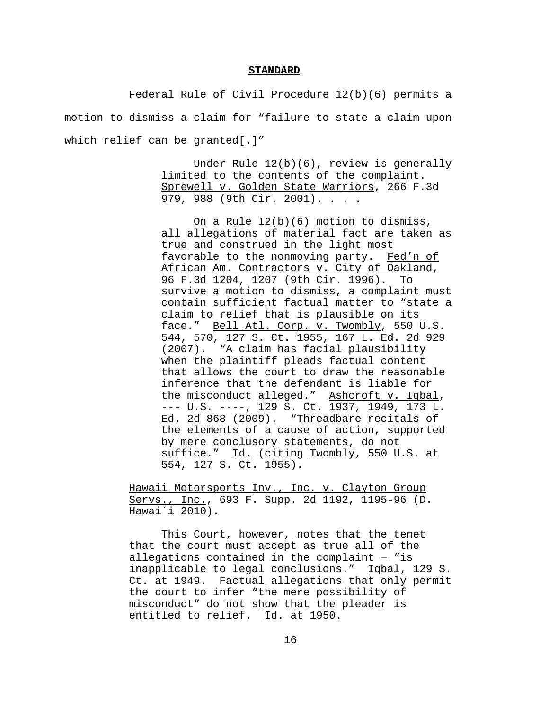#### **STANDARD**

Federal Rule of Civil Procedure 12(b)(6) permits a motion to dismiss a claim for "failure to state a claim upon which relief can be granted[.]"

> Under Rule 12(b)(6), review is generally limited to the contents of the complaint. Sprewell v. Golden State Warriors, 266 F.3d 979, 988 (9th Cir. 2001). . . .

> On a Rule 12(b)(6) motion to dismiss, all allegations of material fact are taken as true and construed in the light most favorable to the nonmoving party. Fed'n of African Am. Contractors v. City of Oakland, 96 F.3d 1204, 1207 (9th Cir. 1996). To survive a motion to dismiss, a complaint must contain sufficient factual matter to "state a claim to relief that is plausible on its face." Bell Atl. Corp. v. Twombly, 550 U.S. 544, 570, 127 S. Ct. 1955, 167 L. Ed. 2d 929 (2007). "A claim has facial plausibility when the plaintiff pleads factual content that allows the court to draw the reasonable inference that the defendant is liable for the misconduct alleged." Ashcroft v. Iqbal, --- U.S. ----, 129 S. Ct. 1937, 1949, 173 L. Ed. 2d 868 (2009). "Threadbare recitals of the elements of a cause of action, supported by mere conclusory statements, do not suffice." Id. (citing Twombly, 550 U.S. at 554, 127 S. Ct. 1955).

Hawaii Motorsports Inv., Inc. v. Clayton Group Servs., Inc., 693 F. Supp. 2d 1192, 1195-96 (D. Hawai`i 2010).

This Court, however, notes that the tenet that the court must accept as true all of the allegations contained in the complaint  $-$  "is inapplicable to legal conclusions." Iqbal, 129 S. Ct. at 1949. Factual allegations that only permit the court to infer "the mere possibility of misconduct" do not show that the pleader is entitled to relief. Id. at 1950.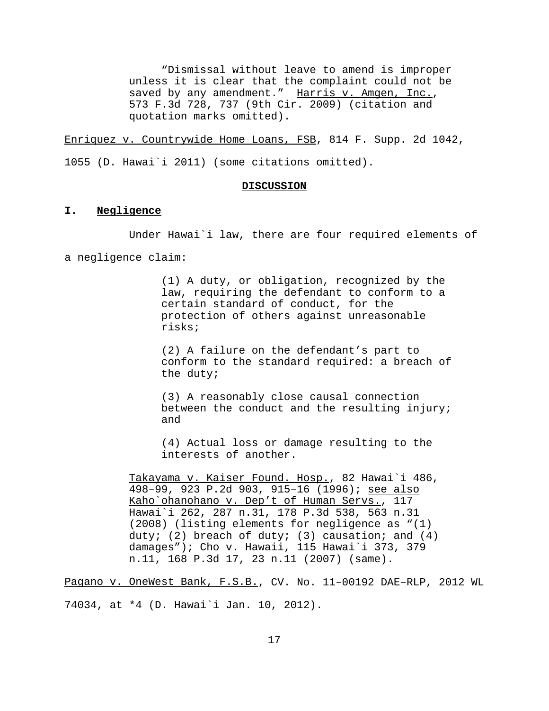"Dismissal without leave to amend is improper unless it is clear that the complaint could not be saved by any amendment." Harris v. Amgen, Inc., 573 F.3d 728, 737 (9th Cir. 2009) (citation and quotation marks omitted).

Enriquez v. Countrywide Home Loans, FSB, 814 F. Supp. 2d 1042,

1055 (D. Hawai`i 2011) (some citations omitted).

#### **DISCUSSION**

#### **I. Negligence**

Under Hawai`i law, there are four required elements of

a negligence claim:

(1) A duty, or obligation, recognized by the law, requiring the defendant to conform to a certain standard of conduct, for the protection of others against unreasonable risks;

(2) A failure on the defendant's part to conform to the standard required: a breach of the duty;

(3) A reasonably close causal connection between the conduct and the resulting injury; and

(4) Actual loss or damage resulting to the interests of another.

Takayama v. Kaiser Found. Hosp., 82 Hawai`i 486, 498–99, 923 P.2d 903, 915–16 (1996); see also Kaho`ohanohano v. Dep't of Human Servs., 117 Hawai`i 262, 287 n.31, 178 P.3d 538, 563 n.31 (2008) (listing elements for negligence as "(1) duty; (2) breach of duty; (3) causation; and  $(4)$ damages"); Cho v. Hawaii, 115 Hawai'i 373, 379 n.11, 168 P.3d 17, 23 n.11 (2007) (same).

Pagano v. OneWest Bank, F.S.B., CV. No. 11–00192 DAE–RLP, 2012 WL

74034, at \*4 (D. Hawai`i Jan. 10, 2012).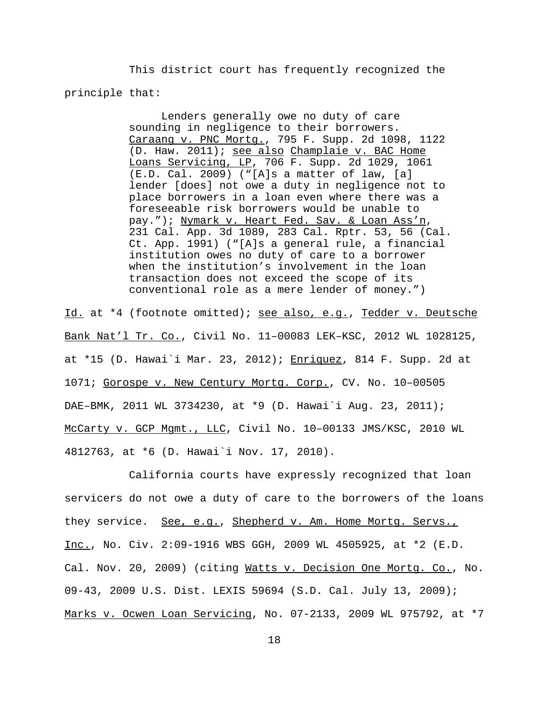This district court has frequently recognized the principle that:

> Lenders generally owe no duty of care sounding in negligence to their borrowers. Caraang v. PNC Mortg., 795 F. Supp. 2d 1098, 1122 (D. Haw. 2011); see also Champlaie v. BAC Home Loans Servicing, LP, 706 F. Supp. 2d 1029, 1061 (E.D. Cal. 2009) ("[A]s a matter of law, [a] lender [does] not owe a duty in negligence not to place borrowers in a loan even where there was a foreseeable risk borrowers would be unable to pay."); Nymark v. Heart Fed. Sav. & Loan Ass'n, 231 Cal. App. 3d 1089, 283 Cal. Rptr. 53, 56 (Cal. Ct. App. 1991) ("[A]s a general rule, a financial institution owes no duty of care to a borrower when the institution's involvement in the loan transaction does not exceed the scope of its conventional role as a mere lender of money.")

Id. at \*4 (footnote omitted); see also, e.g., Tedder v. Deutsche Bank Nat'l Tr. Co., Civil No. 11–00083 LEK–KSC, 2012 WL 1028125, at \*15 (D. Hawai`i Mar. 23, 2012); Enriquez, 814 F. Supp. 2d at 1071; Gorospe v. New Century Mortg. Corp., CV. No. 10–00505 DAE–BMK, 2011 WL 3734230, at \*9 (D. Hawai`i Aug. 23, 2011); McCarty v. GCP Mgmt., LLC, Civil No. 10–00133 JMS/KSC, 2010 WL 4812763, at \*6 (D. Hawai`i Nov. 17, 2010).

California courts have expressly recognized that loan servicers do not owe a duty of care to the borrowers of the loans they service. <u>See, e.g., Shepherd v. Am. Home Mortg. Servs.,</u> Inc., No. Civ. 2:09-1916 WBS GGH, 2009 WL 4505925, at \*2 (E.D. Cal. Nov. 20, 2009) (citing Watts v. Decision One Mortg. Co., No. 09-43, 2009 U.S. Dist. LEXIS 59694 (S.D. Cal. July 13, 2009); Marks v. Ocwen Loan Servicing, No. 07-2133, 2009 WL 975792, at \*7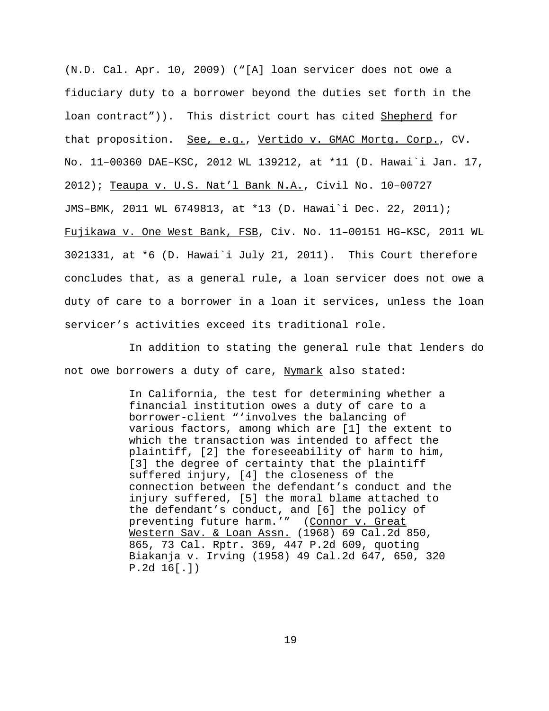(N.D. Cal. Apr. 10, 2009) ("[A] loan servicer does not owe a fiduciary duty to a borrower beyond the duties set forth in the loan contract")). This district court has cited Shepherd for that proposition. See, e.g., Vertido v. GMAC Mortg. Corp., CV. No. 11–00360 DAE–KSC, 2012 WL 139212, at \*11 (D. Hawai`i Jan. 17, 2012); Teaupa v. U.S. Nat'l Bank N.A., Civil No. 10–00727 JMS–BMK, 2011 WL 6749813, at \*13 (D. Hawai`i Dec. 22, 2011); Fujikawa v. One West Bank, FSB, Civ. No. 11–00151 HG–KSC, 2011 WL 3021331, at \*6 (D. Hawai`i July 21, 2011). This Court therefore concludes that, as a general rule, a loan servicer does not owe a duty of care to a borrower in a loan it services, unless the loan servicer's activities exceed its traditional role.

In addition to stating the general rule that lenders do not owe borrowers a duty of care, Nymark also stated:

> In California, the test for determining whether a financial institution owes a duty of care to a borrower-client "'involves the balancing of various factors, among which are [1] the extent to which the transaction was intended to affect the plaintiff, [2] the foreseeability of harm to him, [3] the degree of certainty that the plaintiff suffered injury, [4] the closeness of the connection between the defendant's conduct and the injury suffered, [5] the moral blame attached to the defendant's conduct, and [6] the policy of preventing future harm.'" (Connor v. Great Western Sav. & Loan Assn. (1968) 69 Cal.2d 850, 865, 73 Cal. Rptr. 369, 447 P.2d 609, quoting Biakanja v. Irving (1958) 49 Cal.2d 647, 650, 320 P.2d 16[.])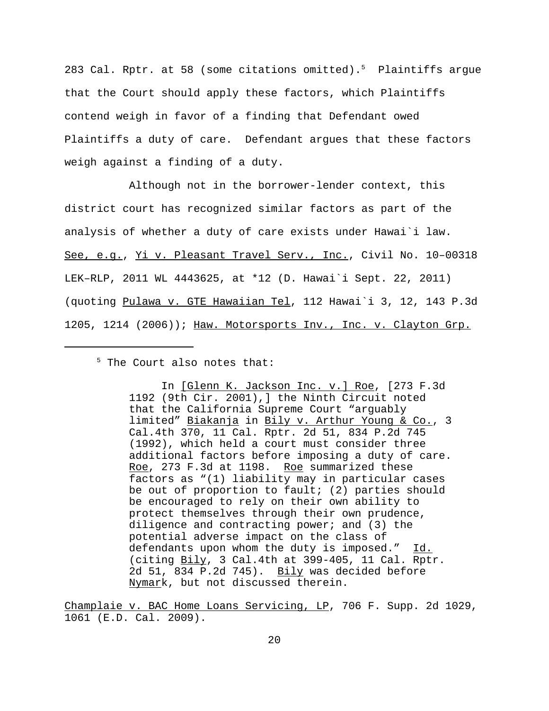283 Cal. Rptr. at 58 (some citations omitted).<sup>5</sup> Plaintiffs argue that the Court should apply these factors, which Plaintiffs contend weigh in favor of a finding that Defendant owed Plaintiffs a duty of care. Defendant argues that these factors weigh against a finding of a duty.

Although not in the borrower-lender context, this district court has recognized similar factors as part of the analysis of whether a duty of care exists under Hawai`i law. See, e.g., Yi v. Pleasant Travel Serv., Inc., Civil No. 10–00318 LEK–RLP, 2011 WL 4443625, at \*12 (D. Hawai`i Sept. 22, 2011) (quoting Pulawa v. GTE Hawaiian Tel, 112 Hawai`i 3, 12, 143 P.3d 1205, 1214 (2006)); Haw. Motorsports Inv., Inc. v. Clayton Grp.

<sup>5</sup> The Court also notes that:

In [Glenn K. Jackson Inc. v.] Roe, [273 F.3d 1192 (9th Cir. 2001),] the Ninth Circuit noted that the California Supreme Court "arguably limited" Biakanja in Bily v. Arthur Young & Co., 3 Cal.4th 370, 11 Cal. Rptr. 2d 51, 834 P.2d 745 (1992), which held a court must consider three additional factors before imposing a duty of care. Roe, 273 F.3d at 1198. Roe summarized these factors as "(1) liability may in particular cases be out of proportion to fault; (2) parties should be encouraged to rely on their own ability to protect themselves through their own prudence, diligence and contracting power; and (3) the potential adverse impact on the class of defendants upon whom the duty is imposed." Id. (citing Bily, 3 Cal.4th at 399-405, 11 Cal. Rptr. 2d 51, 834 P.2d 745). Bily was decided before Nymark, but not discussed therein.

Champlaie v. BAC Home Loans Servicing, LP, 706 F. Supp. 2d 1029, 1061 (E.D. Cal. 2009).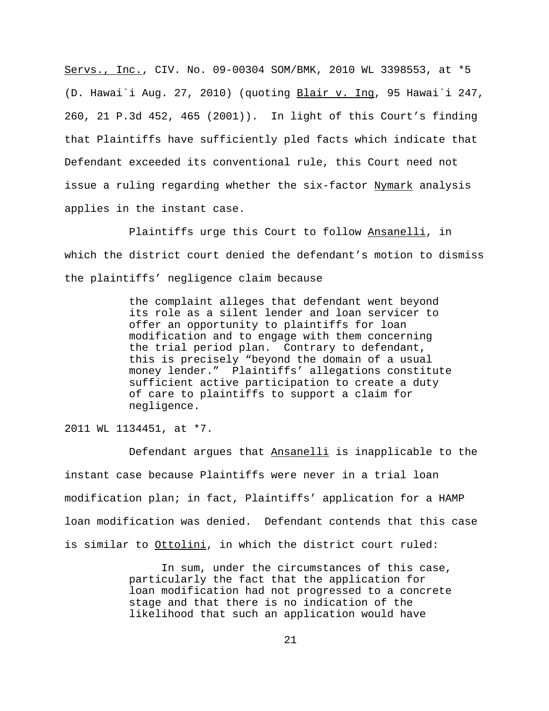Servs., Inc., CIV. No. 09-00304 SOM/BMK, 2010 WL 3398553, at \*5 (D. Hawai`i Aug. 27, 2010) (quoting Blair v. Ing, 95 Hawai`i 247, 260, 21 P.3d 452, 465 (2001)). In light of this Court's finding that Plaintiffs have sufficiently pled facts which indicate that Defendant exceeded its conventional rule, this Court need not issue a ruling regarding whether the six-factor Nymark analysis applies in the instant case.

Plaintiffs urge this Court to follow Ansanelli, in which the district court denied the defendant's motion to dismiss the plaintiffs' negligence claim because

> the complaint alleges that defendant went beyond its role as a silent lender and loan servicer to offer an opportunity to plaintiffs for loan modification and to engage with them concerning the trial period plan. Contrary to defendant, this is precisely "beyond the domain of a usual money lender." Plaintiffs' allegations constitute sufficient active participation to create a duty of care to plaintiffs to support a claim for negligence.

2011 WL 1134451, at \*7.

Defendant argues that Ansanelli is inapplicable to the instant case because Plaintiffs were never in a trial loan modification plan; in fact, Plaintiffs' application for a HAMP loan modification was denied. Defendant contends that this case is similar to Ottolini, in which the district court ruled:

> In sum, under the circumstances of this case, particularly the fact that the application for loan modification had not progressed to a concrete stage and that there is no indication of the likelihood that such an application would have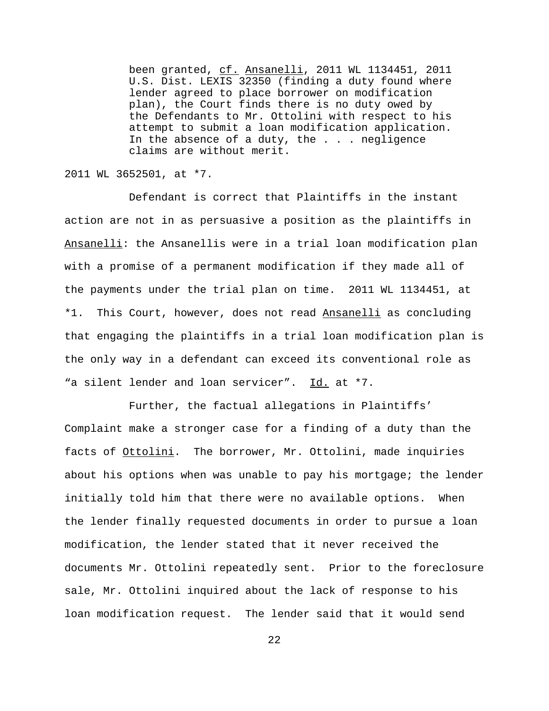been granted, cf. Ansanelli, 2011 WL 1134451, 2011 U.S. Dist. LEXIS 32350 (finding a duty found where lender agreed to place borrower on modification plan), the Court finds there is no duty owed by the Defendants to Mr. Ottolini with respect to his attempt to submit a loan modification application. In the absence of a duty, the . . . negligence claims are without merit.

## 2011 WL 3652501, at \*7.

Defendant is correct that Plaintiffs in the instant action are not in as persuasive a position as the plaintiffs in Ansanelli: the Ansanellis were in a trial loan modification plan with a promise of a permanent modification if they made all of the payments under the trial plan on time. 2011 WL 1134451, at \*1. This Court, however, does not read Ansanelli as concluding that engaging the plaintiffs in a trial loan modification plan is the only way in a defendant can exceed its conventional role as "a silent lender and loan servicer". Id. at \*7.

Further, the factual allegations in Plaintiffs' Complaint make a stronger case for a finding of a duty than the facts of Ottolini. The borrower, Mr. Ottolini, made inquiries about his options when was unable to pay his mortgage; the lender initially told him that there were no available options. When the lender finally requested documents in order to pursue a loan modification, the lender stated that it never received the documents Mr. Ottolini repeatedly sent. Prior to the foreclosure sale, Mr. Ottolini inquired about the lack of response to his loan modification request. The lender said that it would send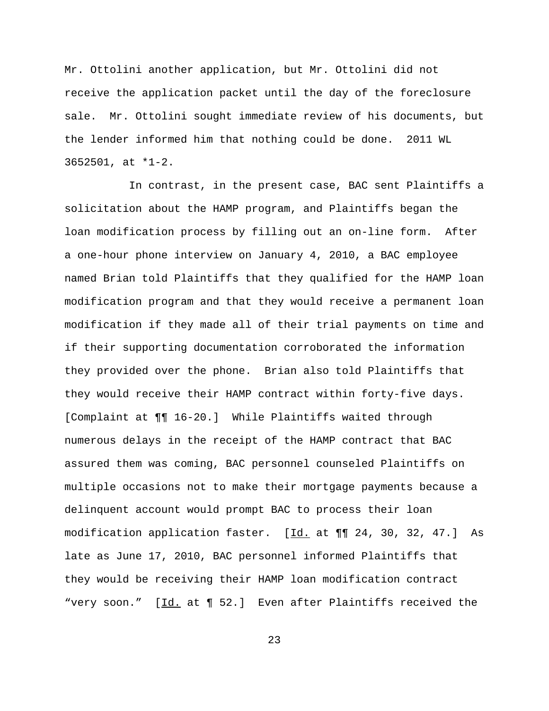Mr. Ottolini another application, but Mr. Ottolini did not receive the application packet until the day of the foreclosure sale. Mr. Ottolini sought immediate review of his documents, but the lender informed him that nothing could be done. 2011 WL 3652501, at \*1-2.

In contrast, in the present case, BAC sent Plaintiffs a solicitation about the HAMP program, and Plaintiffs began the loan modification process by filling out an on-line form. After a one-hour phone interview on January 4, 2010, a BAC employee named Brian told Plaintiffs that they qualified for the HAMP loan modification program and that they would receive a permanent loan modification if they made all of their trial payments on time and if their supporting documentation corroborated the information they provided over the phone. Brian also told Plaintiffs that they would receive their HAMP contract within forty-five days. [Complaint at ¶¶ 16-20.] While Plaintiffs waited through numerous delays in the receipt of the HAMP contract that BAC assured them was coming, BAC personnel counseled Plaintiffs on multiple occasions not to make their mortgage payments because a delinquent account would prompt BAC to process their loan modification application faster. [Id. at  $\P\P$  24, 30, 32, 47.] As late as June 17, 2010, BAC personnel informed Plaintiffs that they would be receiving their HAMP loan modification contract "very soon." [Id. at ¶ 52.] Even after Plaintiffs received the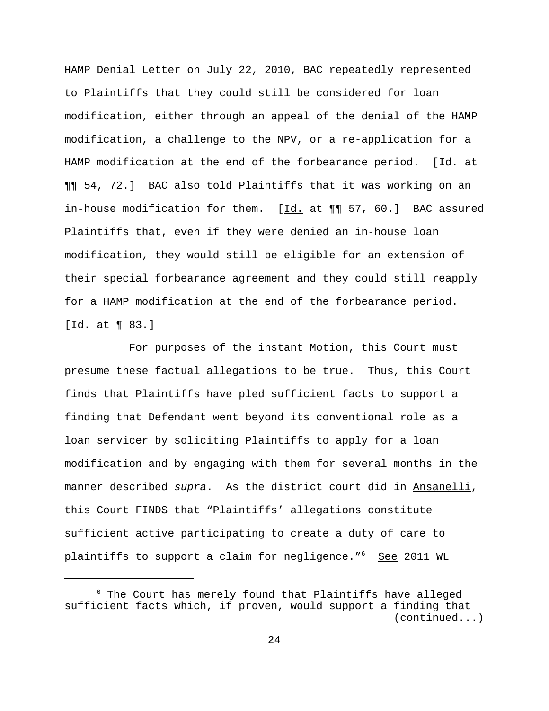HAMP Denial Letter on July 22, 2010, BAC repeatedly represented to Plaintiffs that they could still be considered for loan modification, either through an appeal of the denial of the HAMP modification, a challenge to the NPV, or a re-application for a HAMP modification at the end of the forbearance period. [Id. at ¶¶ 54, 72.] BAC also told Plaintiffs that it was working on an in-house modification for them.  $[\underline{Id.}$  at  $\P\P$  57, 60.] BAC assured Plaintiffs that, even if they were denied an in-house loan modification, they would still be eligible for an extension of their special forbearance agreement and they could still reapply for a HAMP modification at the end of the forbearance period. [Id. at 1 83.]

For purposes of the instant Motion, this Court must presume these factual allegations to be true. Thus, this Court finds that Plaintiffs have pled sufficient facts to support a finding that Defendant went beyond its conventional role as a loan servicer by soliciting Plaintiffs to apply for a loan modification and by engaging with them for several months in the manner described *supra*. As the district court did in Ansanelli, this Court FINDS that "Plaintiffs' allegations constitute sufficient active participating to create a duty of care to plaintiffs to support a claim for negligence."<sup>6</sup> See 2011 WL

 $6$  The Court has merely found that Plaintiffs have alleged sufficient facts which, if proven, would support a finding that (continued...)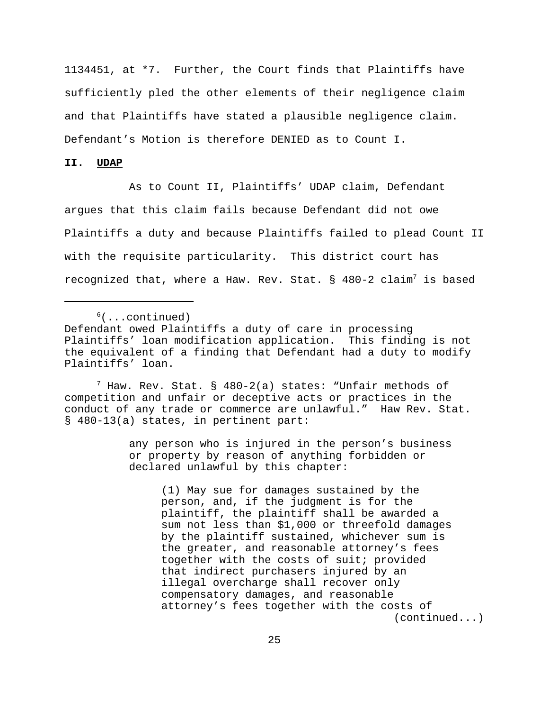1134451, at \*7. Further, the Court finds that Plaintiffs have sufficiently pled the other elements of their negligence claim and that Plaintiffs have stated a plausible negligence claim. Defendant's Motion is therefore DENIED as to Count I.

## **II. UDAP**

As to Count II, Plaintiffs' UDAP claim, Defendant argues that this claim fails because Defendant did not owe Plaintiffs a duty and because Plaintiffs failed to plead Count II with the requisite particularity. This district court has recognized that, where a Haw. Rev. Stat. § 480-2 claim<sup>7</sup> is based

 $<sup>6</sup>(...continued)$ </sup>

 $^7$  Haw. Rev. Stat. § 480-2(a) states: "Unfair methods of competition and unfair or deceptive acts or practices in the conduct of any trade or commerce are unlawful." Haw Rev. Stat. § 480-13(a) states, in pertinent part:

> any person who is injured in the person's business or property by reason of anything forbidden or declared unlawful by this chapter:

(1) May sue for damages sustained by the person, and, if the judgment is for the plaintiff, the plaintiff shall be awarded a sum not less than \$1,000 or threefold damages by the plaintiff sustained, whichever sum is the greater, and reasonable attorney's fees together with the costs of suit; provided that indirect purchasers injured by an illegal overcharge shall recover only compensatory damages, and reasonable attorney's fees together with the costs of (continued...)

Defendant owed Plaintiffs a duty of care in processing Plaintiffs' loan modification application. This finding is not the equivalent of a finding that Defendant had a duty to modify Plaintiffs' loan.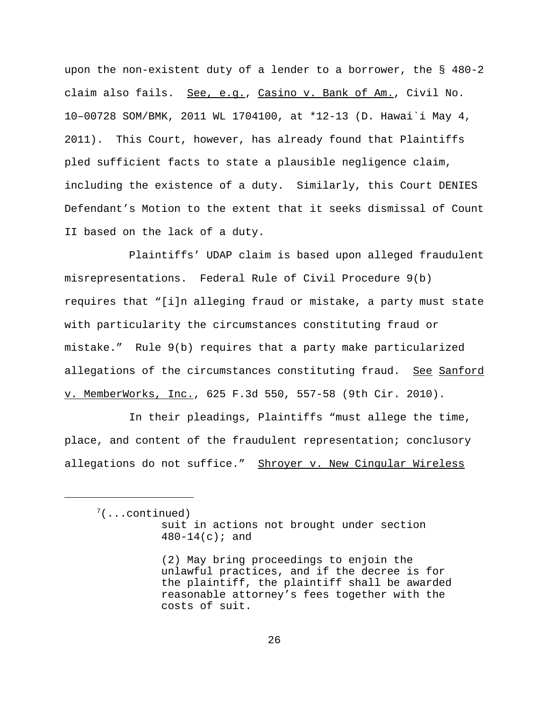upon the non-existent duty of a lender to a borrower, the § 480-2 claim also fails. See, e.g., Casino v. Bank of Am., Civil No. 10–00728 SOM/BMK, 2011 WL 1704100, at \*12-13 (D. Hawai`i May 4, 2011). This Court, however, has already found that Plaintiffs pled sufficient facts to state a plausible negligence claim, including the existence of a duty. Similarly, this Court DENIES Defendant's Motion to the extent that it seeks dismissal of Count II based on the lack of a duty.

Plaintiffs' UDAP claim is based upon alleged fraudulent misrepresentations. Federal Rule of Civil Procedure 9(b) requires that "[i]n alleging fraud or mistake, a party must state with particularity the circumstances constituting fraud or mistake." Rule 9(b) requires that a party make particularized allegations of the circumstances constituting fraud. See Sanford v. MemberWorks, Inc., 625 F.3d 550, 557-58 (9th Cir. 2010).

In their pleadings, Plaintiffs "must allege the time, place, and content of the fraudulent representation; conclusory allegations do not suffice." Shroyer v. New Cingular Wireless

 $7($ ...continued) suit in actions not brought under section  $480 - 14(c)$ ; and

<sup>(2)</sup> May bring proceedings to enjoin the unlawful practices, and if the decree is for the plaintiff, the plaintiff shall be awarded reasonable attorney's fees together with the costs of suit.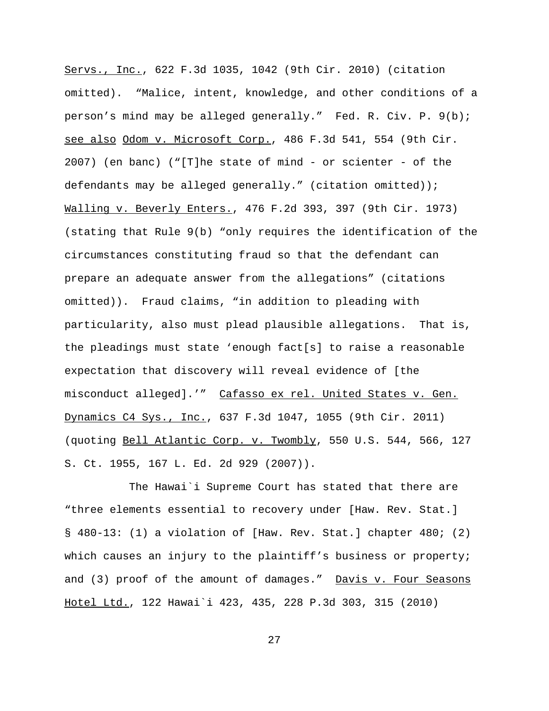Servs., Inc., 622 F.3d 1035, 1042 (9th Cir. 2010) (citation omitted). "Malice, intent, knowledge, and other conditions of a person's mind may be alleged generally." Fed. R. Civ. P. 9(b); see also Odom v. Microsoft Corp., 486 F.3d 541, 554 (9th Cir. 2007) (en banc) ("[T]he state of mind - or scienter - of the defendants may be alleged generally." (citation omitted)); Walling v. Beverly Enters., 476 F.2d 393, 397 (9th Cir. 1973) (stating that Rule 9(b) "only requires the identification of the circumstances constituting fraud so that the defendant can prepare an adequate answer from the allegations" (citations omitted)). Fraud claims, "in addition to pleading with particularity, also must plead plausible allegations. That is, the pleadings must state 'enough fact[s] to raise a reasonable expectation that discovery will reveal evidence of [the misconduct alleged].'" Cafasso ex rel. United States v. Gen. Dynamics C4 Sys., Inc., 637 F.3d 1047, 1055 (9th Cir. 2011) (quoting Bell Atlantic Corp. v. Twombly, 550 U.S. 544, 566, 127 S. Ct. 1955, 167 L. Ed. 2d 929 (2007)).

The Hawai`i Supreme Court has stated that there are "three elements essential to recovery under [Haw. Rev. Stat.] § 480-13: (1) a violation of [Haw. Rev. Stat.] chapter 480; (2) which causes an injury to the plaintiff's business or property; and (3) proof of the amount of damages." Davis v. Four Seasons Hotel Ltd., 122 Hawai`i 423, 435, 228 P.3d 303, 315 (2010)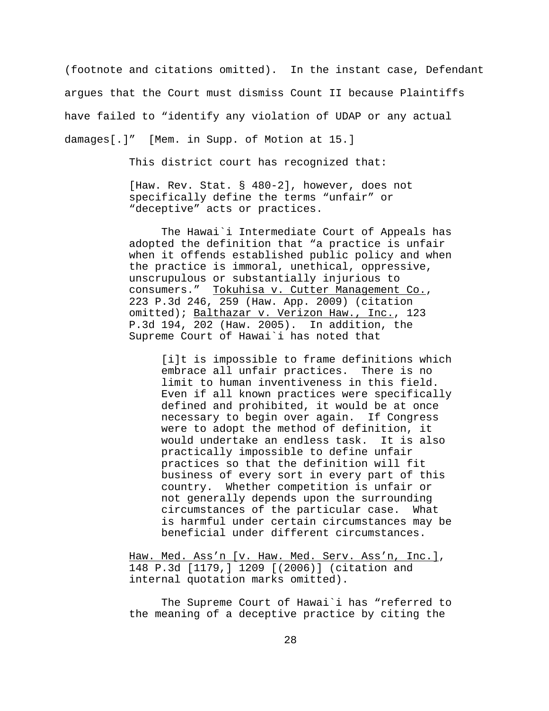(footnote and citations omitted). In the instant case, Defendant argues that the Court must dismiss Count II because Plaintiffs have failed to "identify any violation of UDAP or any actual damages[.]" [Mem. in Supp. of Motion at 15.]

This district court has recognized that:

[Haw. Rev. Stat. § 480-2], however, does not specifically define the terms "unfair" or "deceptive" acts or practices.

The Hawai`i Intermediate Court of Appeals has adopted the definition that "a practice is unfair when it offends established public policy and when the practice is immoral, unethical, oppressive, unscrupulous or substantially injurious to consumers." Tokuhisa v. Cutter Management Co., 223 P.3d 246, 259 (Haw. App. 2009) (citation omitted); Balthazar v. Verizon Haw., Inc., 123 P.3d 194, 202 (Haw. 2005). In addition, the Supreme Court of Hawai`i has noted that

[i]t is impossible to frame definitions which embrace all unfair practices. There is no limit to human inventiveness in this field. Even if all known practices were specifically defined and prohibited, it would be at once necessary to begin over again. If Congress were to adopt the method of definition, it would undertake an endless task. It is also practically impossible to define unfair practices so that the definition will fit business of every sort in every part of this country. Whether competition is unfair or not generally depends upon the surrounding circumstances of the particular case. What is harmful under certain circumstances may be beneficial under different circumstances.

Haw. Med. Ass'n [v. Haw. Med. Serv. Ass'n, Inc.], 148 P.3d [1179,] 1209 [(2006)] (citation and internal quotation marks omitted).

The Supreme Court of Hawai`i has "referred to the meaning of a deceptive practice by citing the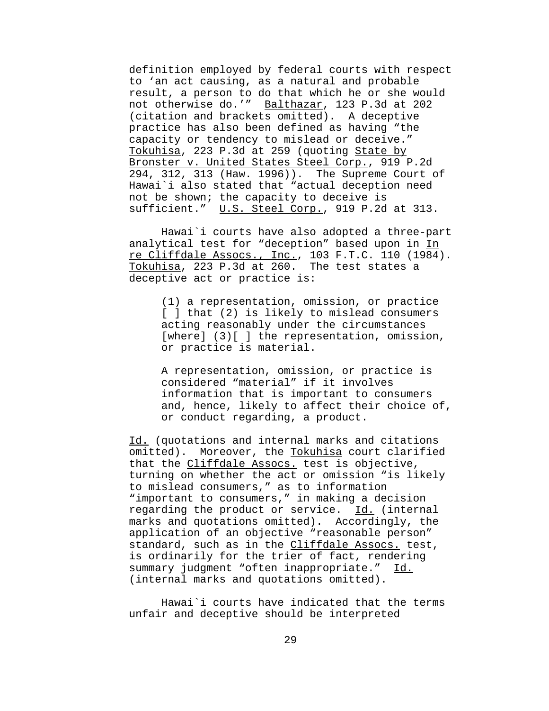definition employed by federal courts with respect to 'an act causing, as a natural and probable result, a person to do that which he or she would not otherwise do.'" Balthazar, 123 P.3d at 202 (citation and brackets omitted). A deceptive practice has also been defined as having "the capacity or tendency to mislead or deceive." Tokuhisa, 223 P.3d at 259 (quoting State by Bronster v. United States Steel Corp., 919 P.2d 294, 312, 313 (Haw. 1996)). The Supreme Court of Hawai`i also stated that "actual deception need not be shown; the capacity to deceive is sufficient." U.S. Steel Corp., 919 P.2d at 313.

Hawai`i courts have also adopted a three-part analytical test for "deception" based upon in In re Cliffdale Assocs., Inc., 103 F.T.C. 110 (1984). Tokuhisa, 223 P.3d at 260. The test states a deceptive act or practice is:

(1) a representation, omission, or practice [ ] that (2) is likely to mislead consumers acting reasonably under the circumstances [where] (3)[ ] the representation, omission, or practice is material.

A representation, omission, or practice is considered "material" if it involves information that is important to consumers and, hence, likely to affect their choice of, or conduct regarding, a product.

Id. (quotations and internal marks and citations omitted). Moreover, the Tokuhisa court clarified that the Cliffdale Assocs. test is objective, turning on whether the act or omission "is likely to mislead consumers," as to information "important to consumers," in making a decision regarding the product or service. Id. (internal marks and quotations omitted). Accordingly, the application of an objective "reasonable person" standard, such as in the Cliffdale Assocs. test, is ordinarily for the trier of fact, rendering summary judgment "often inappropriate." Id. (internal marks and quotations omitted).

Hawai`i courts have indicated that the terms unfair and deceptive should be interpreted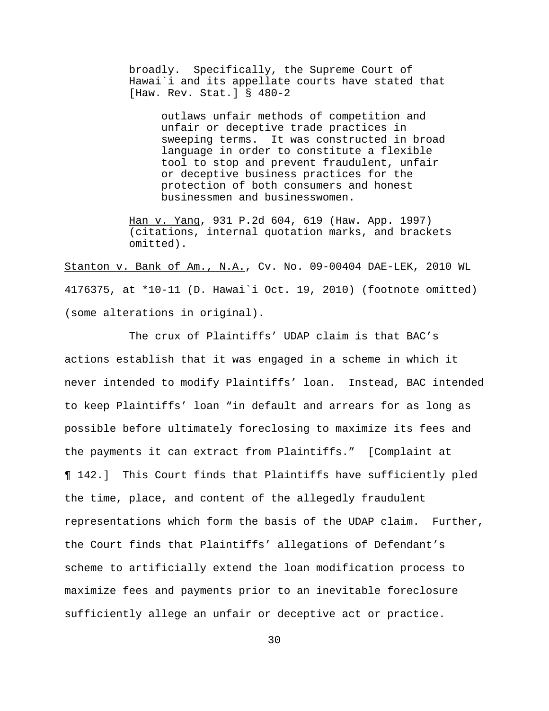broadly. Specifically, the Supreme Court of Hawai`i and its appellate courts have stated that [Haw. Rev. Stat.] § 480-2

> outlaws unfair methods of competition and unfair or deceptive trade practices in sweeping terms. It was constructed in broad language in order to constitute a flexible tool to stop and prevent fraudulent, unfair or deceptive business practices for the protection of both consumers and honest businessmen and businesswomen.

Han v. Yang, 931 P.2d 604, 619 (Haw. App. 1997) (citations, internal quotation marks, and brackets omitted).

Stanton v. Bank of Am., N.A., Cv. No. 09-00404 DAE-LEK, 2010 WL 4176375, at \*10-11 (D. Hawai`i Oct. 19, 2010) (footnote omitted) (some alterations in original).

The crux of Plaintiffs' UDAP claim is that BAC's actions establish that it was engaged in a scheme in which it never intended to modify Plaintiffs' loan. Instead, BAC intended to keep Plaintiffs' loan "in default and arrears for as long as possible before ultimately foreclosing to maximize its fees and the payments it can extract from Plaintiffs." [Complaint at ¶ 142.] This Court finds that Plaintiffs have sufficiently pled the time, place, and content of the allegedly fraudulent representations which form the basis of the UDAP claim. Further, the Court finds that Plaintiffs' allegations of Defendant's scheme to artificially extend the loan modification process to maximize fees and payments prior to an inevitable foreclosure sufficiently allege an unfair or deceptive act or practice.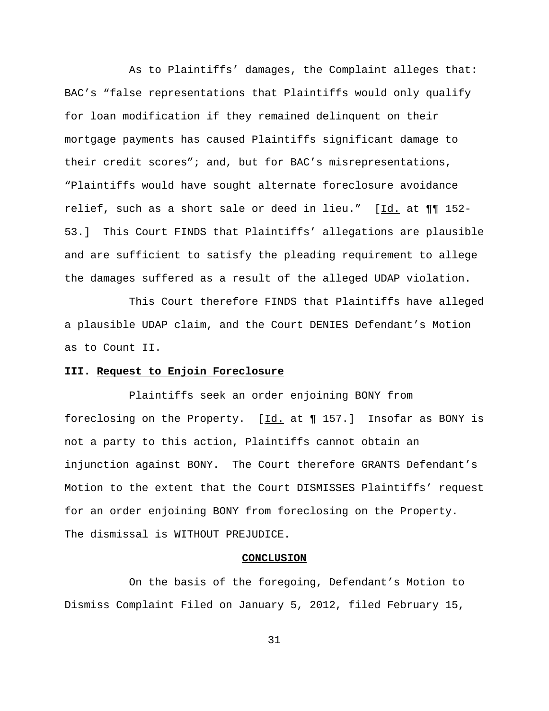As to Plaintiffs' damages, the Complaint alleges that: BAC's "false representations that Plaintiffs would only qualify for loan modification if they remained delinquent on their mortgage payments has caused Plaintiffs significant damage to their credit scores"; and, but for BAC's misrepresentations, "Plaintiffs would have sought alternate foreclosure avoidance relief, such as a short sale or deed in lieu." [Id. at ¶¶ 152- 53.] This Court FINDS that Plaintiffs' allegations are plausible and are sufficient to satisfy the pleading requirement to allege the damages suffered as a result of the alleged UDAP violation.

This Court therefore FINDS that Plaintiffs have alleged a plausible UDAP claim, and the Court DENIES Defendant's Motion as to Count II.

## **III. Request to Enjoin Foreclosure**

Plaintiffs seek an order enjoining BONY from foreclosing on the Property.  $[\underline{Id.}]$  at  $\P$  157.] Insofar as BONY is not a party to this action, Plaintiffs cannot obtain an injunction against BONY. The Court therefore GRANTS Defendant's Motion to the extent that the Court DISMISSES Plaintiffs' request for an order enjoining BONY from foreclosing on the Property. The dismissal is WITHOUT PREJUDICE.

#### **CONCLUSION**

On the basis of the foregoing, Defendant's Motion to Dismiss Complaint Filed on January 5, 2012, filed February 15,